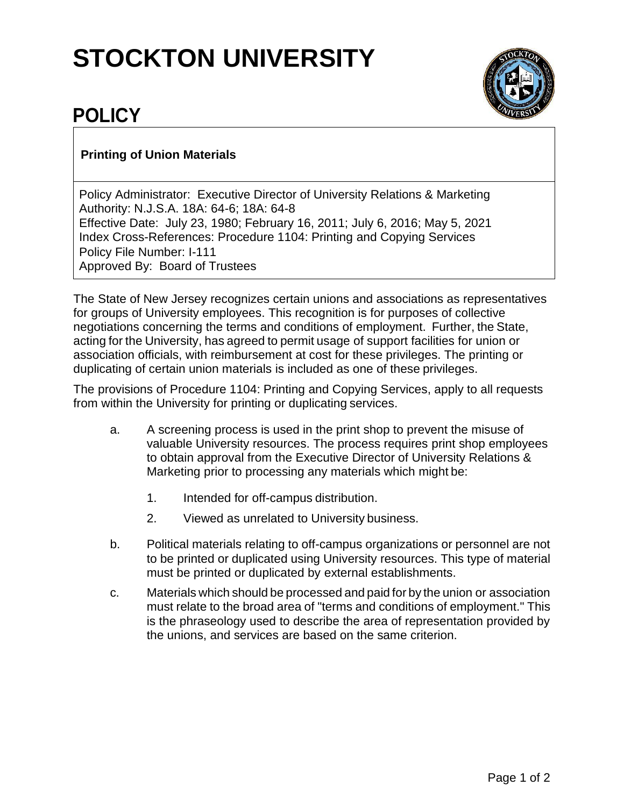## **STOCKTON UNIVERSITY**



## **POLICY**

## **Printing of Union Materials**

Policy Administrator: Executive Director of University Relations & Marketing Authority: N.J.S.A. 18A: 64-6; 18A: 64-8 Effective Date: July 23, 1980; February 16, 2011; July 6, 2016; May 5, 2021 Index Cross-References: Procedure 1104: Printing and Copying Services Policy File Number: I-111 Approved By: Board of Trustees

The State of New Jersey recognizes certain unions and associations as representatives for groups of University employees. This recognition is for purposes of collective negotiations concerning the terms and conditions of employment. Further, the State, acting for the University, has agreed to permit usage of support facilities for union or association officials, with reimbursement at cost for these privileges. The printing or duplicating of certain union materials is included as one of these privileges.

The provisions of Procedure 1104: Printing and Copying Services, apply to all requests from within the University for printing or duplicating services.

- a. A screening process is used in the print shop to prevent the misuse of valuable University resources. The process requires print shop employees to obtain approval from the Executive Director of University Relations & Marketing prior to processing any materials which might be:
	- 1. Intended for off-campus distribution.
	- 2. Viewed as unrelated to University business.
- b. Political materials relating to off-campus organizations or personnel are not to be printed or duplicated using University resources. This type of material must be printed or duplicated by external establishments.
- c. Materials which should be processed and paid for by the union or association must relate to the broad area of "terms and conditions of employment." This is the phraseology used to describe the area of representation provided by the unions, and services are based on the same criterion.